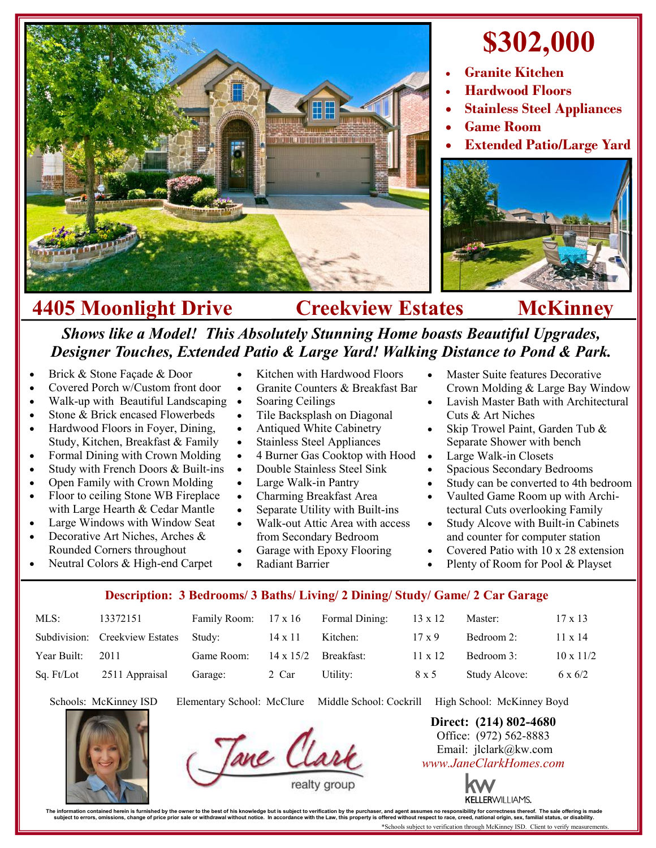

## **\$302,000**

- **Granite Kitchen**
- **Hardwood Floors**
- **Stainless Steel Appliances**
- **Game Room**
- **Extended Patio/Large Yard**



## **4405 Moonlight Drive Creekview Estates McKinney**

## *Shows like a Model! This Absolutely Stunning Home boasts Beautiful Upgrades, Designer Touches, Extended Patio & Large Yard! Walking Distance to Pond & Park.*

 Kitchen with Hardwood Floors Granite Counters & Breakfast Bar

- Brick & Stone Façade & Door
- Covered Porch w/Custom front door
- Walk-up with Beautiful Landscaping •
- Stone & Brick encased Flowerbeds
- Hardwood Floors in Foyer, Dining, Study, Kitchen, Breakfast & Family
- Formal Dining with Crown Molding
- Study with French Doors & Built-ins
- Open Family with Crown Molding
- Floor to ceiling Stone WB Fireplace with Large Hearth & Cedar Mantle
- Large Windows with Window Seat
- Decorative Art Niches, Arches & Rounded Corners throughout Neutral Colors & High-end Carpet
- Soaring Ceilings Tile Backsplash on Diagonal
- Antiqued White Cabinetry
- Stainless Steel Appliances
- 4 Burner Gas Cooktop with Hood
- Double Stainless Steel Sink
- Large Walk-in Pantry
- Charming Breakfast Area
- Separate Utility with Built-ins
- Walk-out Attic Area with access
- from Secondary Bedroom
- Garage with Epoxy Flooring Radiant Barrier
- Master Suite features Decorative Crown Molding & Large Bay Window
- Lavish Master Bath with Architectural Cuts & Art Niches
- Skip Trowel Paint, Garden Tub & Separate Shower with bench
- Large Walk-in Closets
- Spacious Secondary Bedrooms
- Study can be converted to 4th bedroom
- Vaulted Game Room up with Architectural Cuts overlooking Family
- Study Alcove with Built-in Cabinets and counter for computer station
- Covered Patio with 10 x 28 extension
- Plenty of Room for Pool & Playset

## **Description: 3 Bedrooms/ 3 Baths/ Living/ 2 Dining/ Study/ Game/ 2 Car Garage**

| MLS:        | 13372151                       | Family Room: 17 x 16 |                  | Formal Dining: | $13 \times 12$ | Master:       | $17 \times 13$   |
|-------------|--------------------------------|----------------------|------------------|----------------|----------------|---------------|------------------|
|             | Subdivision: Creekview Estates | Study:               | $14 \times 11$   | Kitchen:       | $17 \times 9$  | Bedroom 2:    | $11 \times 14$   |
| Year Built: | 2011                           | Game Room:           | $14 \times 15/2$ | Breakfast:     | $11 \times 12$ | Bedroom 3:    | $10 \times 11/2$ |
| Sq. Ft/Lot  | 2511 Appraisal                 | Garage:              | 2 Car            | Utility:       | 8 x 5          | Study Alcove: | $6 \times 6/2$   |

Schools: McKinney ISD Elementary School: McClure Middle School: Cockrill High School: McKinney Boyd



**Direct: (214) 802-4680** Office: (972) 562-8883 Email: jlclark@kw.com *www.JaneClarkHomes.com*



The information contained heren is furnished by the owner to the best of his knowledge but is usuplect to verification by the purchaser, and agent assumes no responsibility for corrections then incompted in accordance with

\*Schools subject to verification through McKinney ISD. Client to verify measurements.